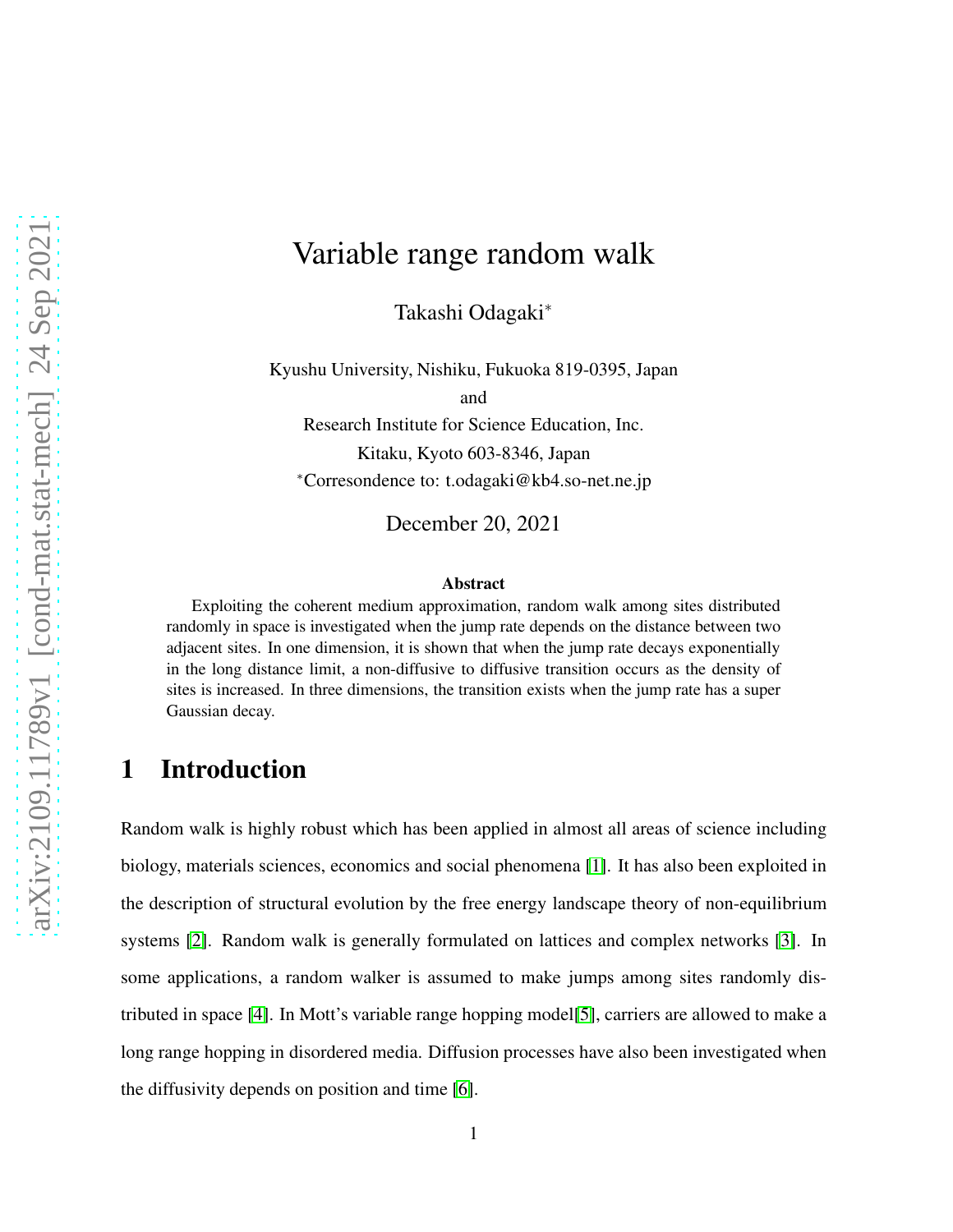# Variable range random walk

Takashi Odagaki<sup>∗</sup>

Kyushu University, Nishiku, Fukuoka 819-0395, Japan

and

Research Institute for Science Education, Inc. Kitaku, Kyoto 603-8346, Japan <sup>∗</sup>Corresondence to: t.odagaki@kb4.so-net.ne.jp

December 20, 2021

#### Abstract

Exploiting the coherent medium approximation, random walk among sites distributed randomly in space is investigated when the jump rate depends on the distance between two adjacent sites. In one dimension, it is shown that when the jump rate decays exponentially in the long distance limit, a non-diffusive to diffusive transition occurs as the density of sites is increased. In three dimensions, the transition exists when the jump rate has a super Gaussian decay.

### 1 Introduction

Random walk is highly robust which has been applied in almost all areas of science including biology, materials sciences, economics and social phenomena [\[1\]](#page-8-0). It has also been exploited in the description of structural evolution by the free energy landscape theory of non-equilibrium systems [\[2\]](#page-8-1). Random walk is generally formulated on lattices and complex networks [\[3\]](#page-8-2). In some applications, a random walker is assumed to make jumps among sites randomly distributed in space [\[4\]](#page-8-3). In Mott's variable range hopping model[\[5\]](#page-8-4), carriers are allowed to make a long range hopping in disordered media. Diffusion processes have also been investigated when the diffusivity depends on position and time [\[6\]](#page-8-5).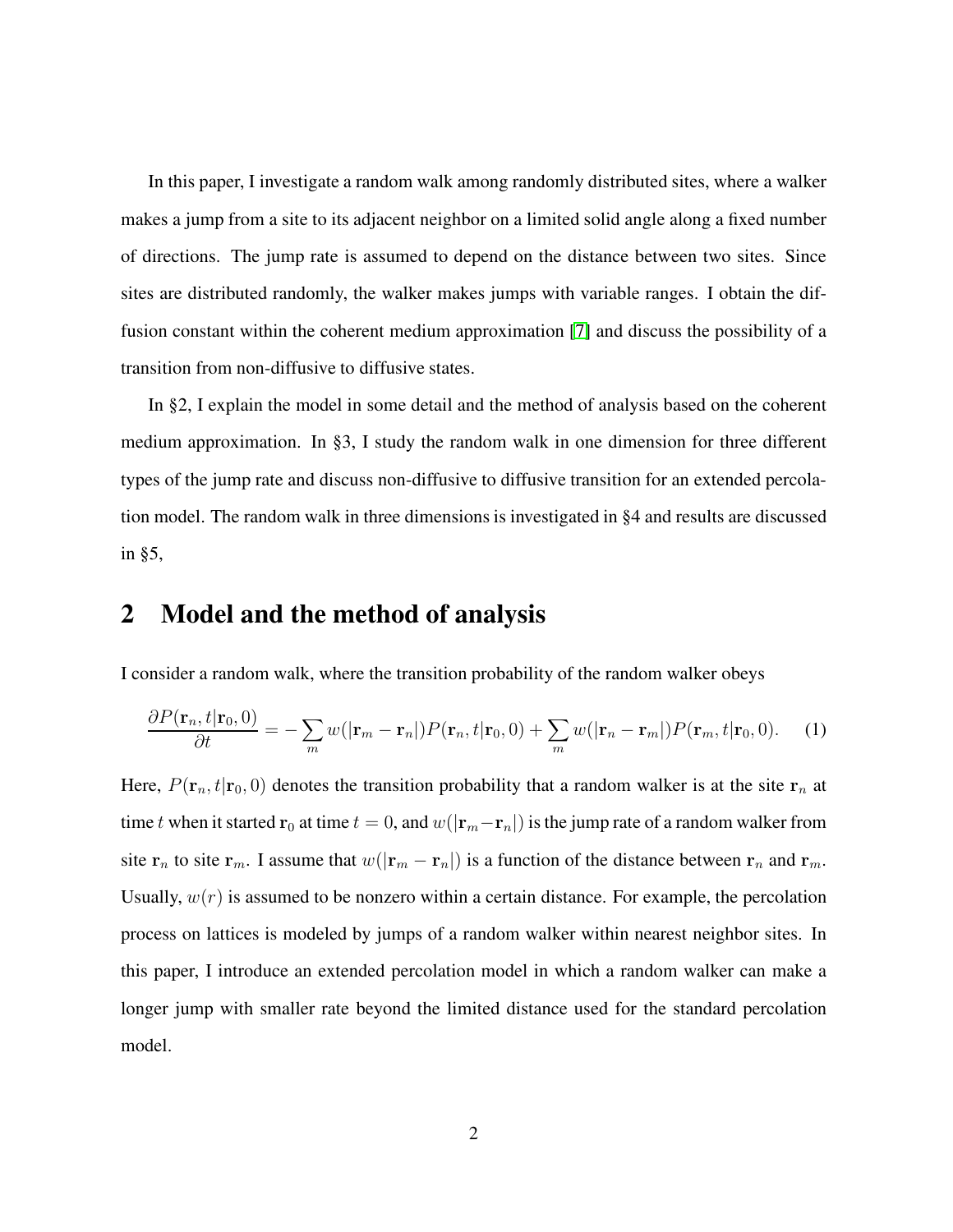In this paper, I investigate a random walk among randomly distributed sites, where a walker makes a jump from a site to its adjacent neighbor on a limited solid angle along a fixed number of directions. The jump rate is assumed to depend on the distance between two sites. Since sites are distributed randomly, the walker makes jumps with variable ranges. I obtain the diffusion constant within the coherent medium approximation [\[7\]](#page-8-6) and discuss the possibility of a transition from non-diffusive to diffusive states.

In §2, I explain the model in some detail and the method of analysis based on the coherent medium approximation. In §3, I study the random walk in one dimension for three different types of the jump rate and discuss non-diffusive to diffusive transition for an extended percolation model. The random walk in three dimensions is investigated in §4 and results are discussed in §5,

### 2 Model and the method of analysis

I consider a random walk, where the transition probability of the random walker obeys

$$
\frac{\partial P(\mathbf{r}_n, t | \mathbf{r}_0, 0)}{\partial t} = -\sum_m w(|\mathbf{r}_m - \mathbf{r}_n|) P(\mathbf{r}_n, t | \mathbf{r}_0, 0) + \sum_m w(|\mathbf{r}_n - \mathbf{r}_m|) P(\mathbf{r}_m, t | \mathbf{r}_0, 0). \tag{1}
$$

Here,  $P(\mathbf{r}_n, t | \mathbf{r}_0, 0)$  denotes the transition probability that a random walker is at the site  $\mathbf{r}_n$  at time t when it started  $\mathbf{r}_0$  at time  $t = 0$ , and  $w(|\mathbf{r}_m - \mathbf{r}_n|)$  is the jump rate of a random walker from site  $r_n$  to site  $r_m$ . I assume that  $w(|r_m - r_n|)$  is a function of the distance between  $r_n$  and  $r_m$ . Usually,  $w(r)$  is assumed to be nonzero within a certain distance. For example, the percolation process on lattices is modeled by jumps of a random walker within nearest neighbor sites. In this paper, I introduce an extended percolation model in which a random walker can make a longer jump with smaller rate beyond the limited distance used for the standard percolation model.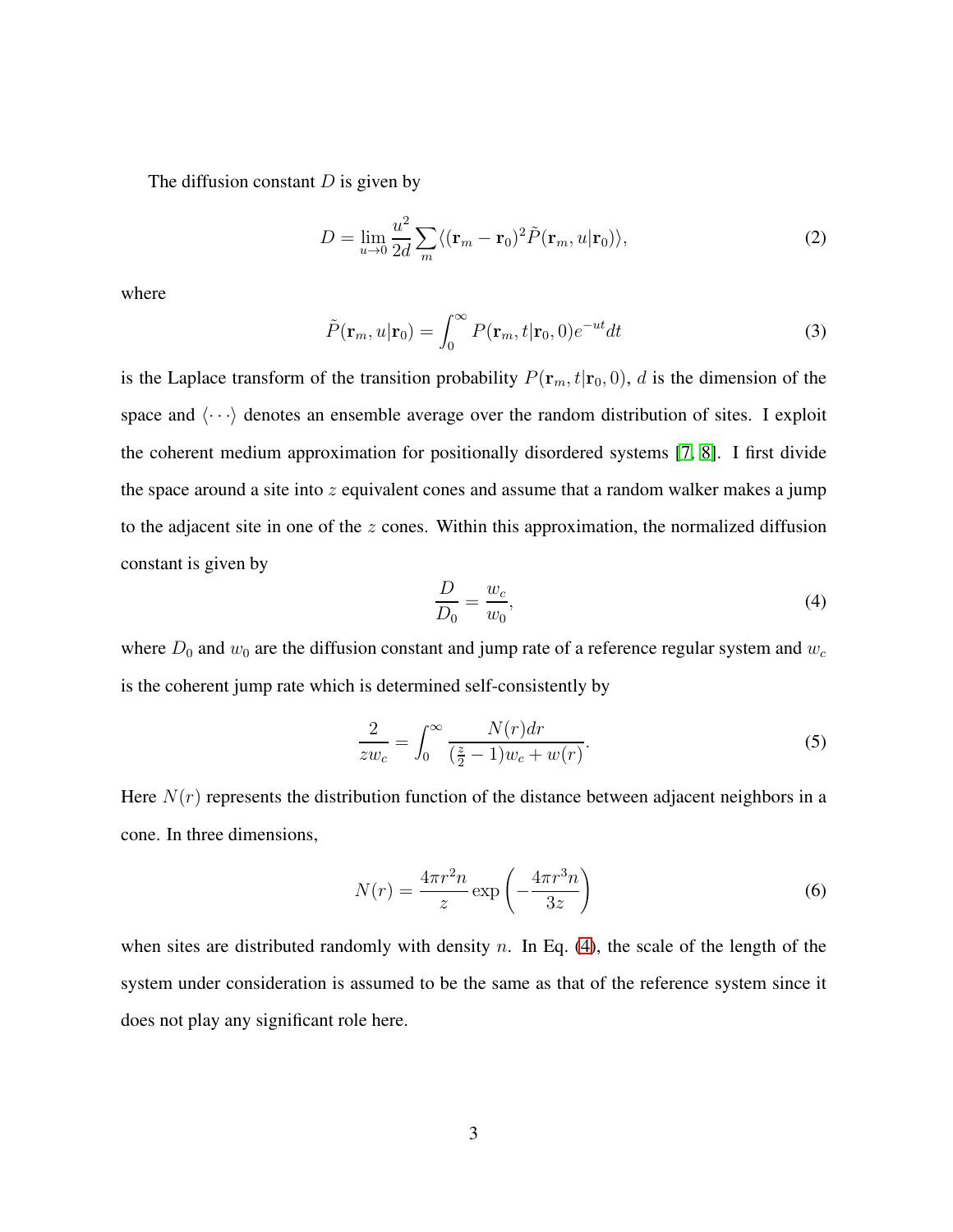The diffusion constant  $D$  is given by

$$
D = \lim_{u \to 0} \frac{u^2}{2d} \sum_{m} \langle (\mathbf{r}_m - \mathbf{r}_0)^2 \tilde{P}(\mathbf{r}_m, u | \mathbf{r}_0) \rangle, \tag{2}
$$

where

$$
\tilde{P}(\mathbf{r}_m, u | \mathbf{r}_0) = \int_0^\infty P(\mathbf{r}_m, t | \mathbf{r}_0, 0) e^{-ut} dt \tag{3}
$$

is the Laplace transform of the transition probability  $P(\mathbf{r}_m, t|\mathbf{r}_0, 0)$ , d is the dimension of the space and  $\langle \cdots \rangle$  denotes an ensemble average over the random distribution of sites. I exploit the coherent medium approximation for positionally disordered systems [\[7,](#page-8-6) [8\]](#page-8-7). I first divide the space around a site into  $z$  equivalent cones and assume that a random walker makes a jump to the adjacent site in one of the  $z$  cones. Within this approximation, the normalized diffusion constant is given by

<span id="page-2-0"></span>
$$
\frac{D}{D_0} = \frac{w_c}{w_0},\tag{4}
$$

where  $D_0$  and  $w_0$  are the diffusion constant and jump rate of a reference regular system and  $w_c$ is the coherent jump rate which is determined self-consistently by

<span id="page-2-1"></span>
$$
\frac{2}{zw_c} = \int_0^\infty \frac{N(r)dr}{\left(\frac{z}{2} - 1\right)w_c + w(r)}.\tag{5}
$$

Here  $N(r)$  represents the distribution function of the distance between adjacent neighbors in a cone. In three dimensions,

<span id="page-2-2"></span>
$$
N(r) = \frac{4\pi r^2 n}{z} \exp\left(-\frac{4\pi r^3 n}{3z}\right)
$$
 (6)

when sites are distributed randomly with density n. In Eq.  $(4)$ , the scale of the length of the system under consideration is assumed to be the same as that of the reference system since it does not play any significant role here.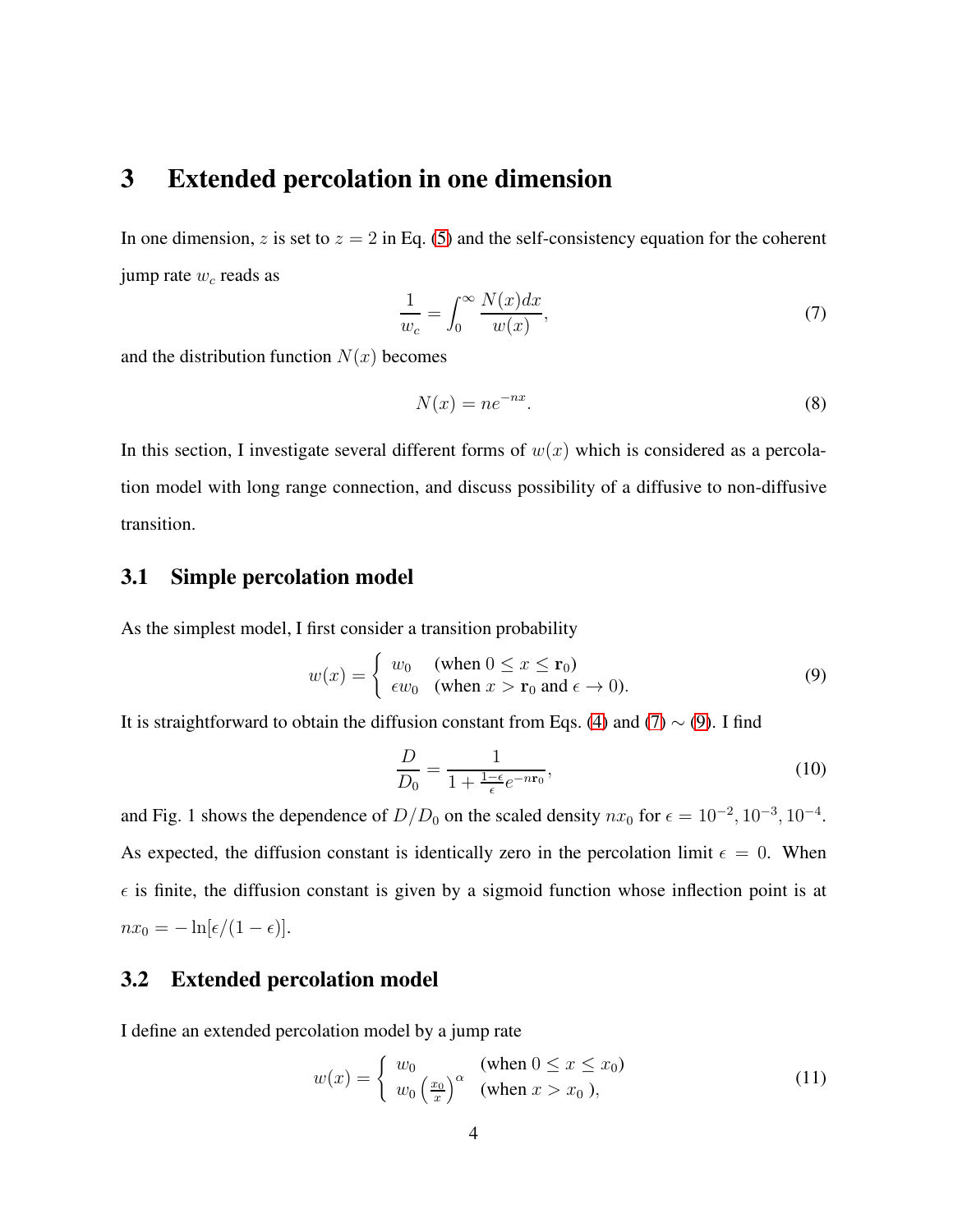### 3 Extended percolation in one dimension

In one dimension, z is set to  $z = 2$  in Eq. [\(5\)](#page-2-1) and the self-consistency equation for the coherent jump rate  $w_c$  reads as

<span id="page-3-0"></span>
$$
\frac{1}{w_c} = \int_0^\infty \frac{N(x)dx}{w(x)},\tag{7}
$$

and the distribution function  $N(x)$  becomes

<span id="page-3-2"></span>
$$
N(x) = ne^{-nx}.\tag{8}
$$

In this section, I investigate several different forms of  $w(x)$  which is considered as a percolation model with long range connection, and discuss possibility of a diffusive to non-diffusive transition.

#### 3.1 Simple percolation model

As the simplest model, I first consider a transition probability

<span id="page-3-1"></span>
$$
w(x) = \begin{cases} w_0 & \text{(when } 0 \le x \le \mathbf{r}_0) \\ \epsilon w_0 & \text{(when } x > \mathbf{r}_0 \text{ and } \epsilon \to 0). \end{cases}
$$
 (9)

It is straightforward to obtain the diffusion constant from Eqs. [\(4\)](#page-2-0) and [\(7\)](#page-3-0)  $\sim$  [\(9\)](#page-3-1). I find

$$
\frac{D}{D_0} = \frac{1}{1 + \frac{1 - \epsilon}{\epsilon} e^{-n \mathbf{r}_0}},\tag{10}
$$

and Fig. 1 shows the dependence of  $D/D_0$  on the scaled density  $nx_0$  for  $\epsilon = 10^{-2}$ ,  $10^{-3}$ ,  $10^{-4}$ . As expected, the diffusion constant is identically zero in the percolation limit  $\epsilon = 0$ . When  $\epsilon$  is finite, the diffusion constant is given by a sigmoid function whose inflection point is at  $nx_0 = -\ln[\epsilon/(1-\epsilon)].$ 

### 3.2 Extended percolation model

I define an extended percolation model by a jump rate

<span id="page-3-3"></span>
$$
w(x) = \begin{cases} w_0 & \text{(when } 0 \le x \le x_0\text{)}\\ w_0 \left(\frac{x_0}{x}\right)^\alpha & \text{(when } x > x_0 \text{)}, \end{cases} \tag{11}
$$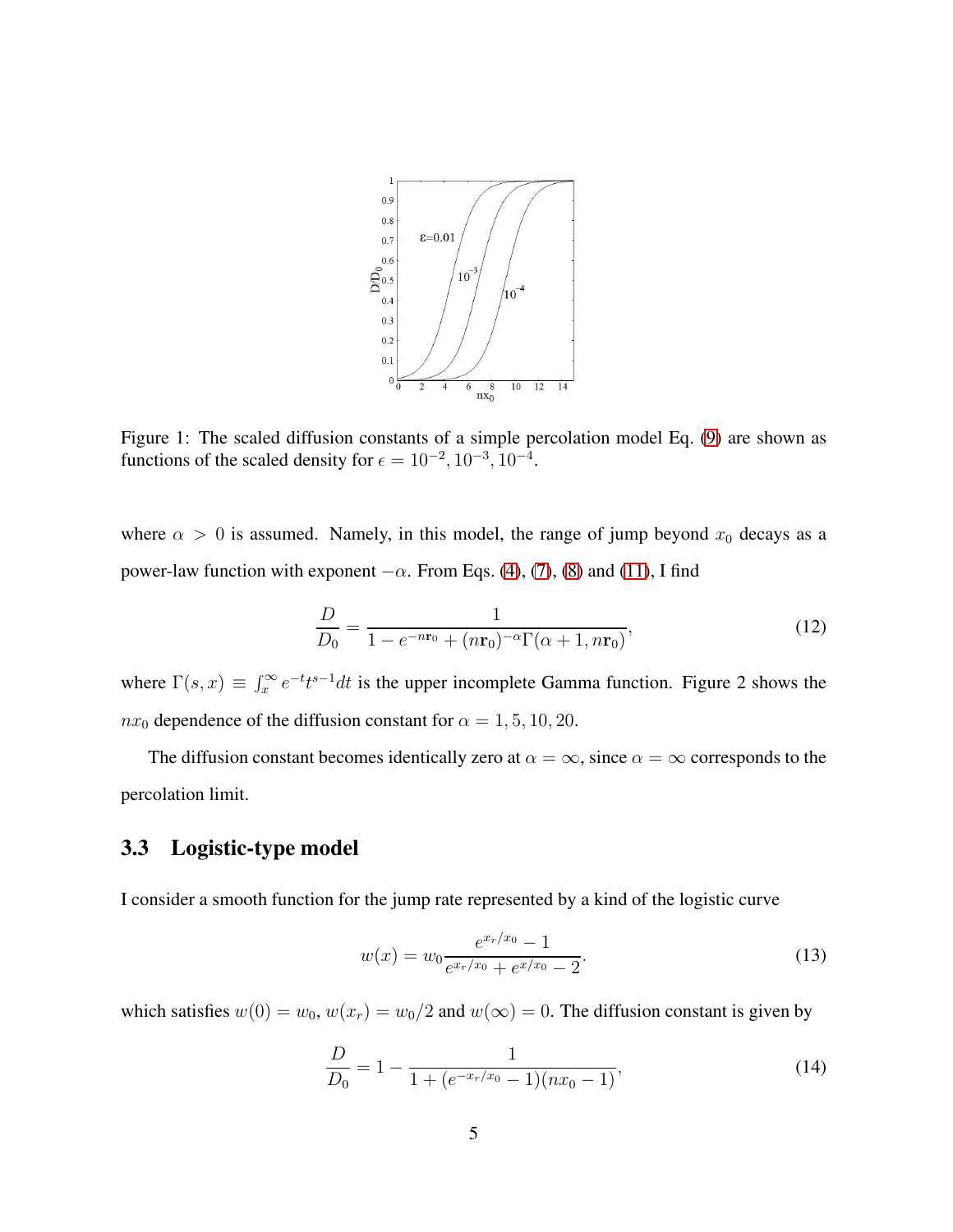

Figure 1: The scaled diffusion constants of a simple percolation model Eq. [\(9\)](#page-3-1) are shown as functions of the scaled density for  $\epsilon = 10^{-2}$ ,  $10^{-3}$ ,  $10^{-4}$ .

where  $\alpha > 0$  is assumed. Namely, in this model, the range of jump beyond  $x_0$  decays as a power-law function with exponent  $-\alpha$ . From Eqs. [\(4\)](#page-2-0), [\(7\)](#page-3-0), [\(8\)](#page-3-2) and [\(11\)](#page-3-3), I find

$$
\frac{D}{D_0} = \frac{1}{1 - e^{-n\mathbf{r}_0} + (n\mathbf{r}_0)^{-\alpha} \Gamma(\alpha + 1, n\mathbf{r}_0)},\tag{12}
$$

where  $\Gamma(s, x) \equiv \int_x^{\infty} e^{-t} t^{s-1} dt$  is the upper incomplete Gamma function. Figure 2 shows the  $nx_0$  dependence of the diffusion constant for  $\alpha = 1, 5, 10, 20$ .

The diffusion constant becomes identically zero at  $\alpha = \infty$ , since  $\alpha = \infty$  corresponds to the percolation limit.

#### 3.3 Logistic-type model

I consider a smooth function for the jump rate represented by a kind of the logistic curve

<span id="page-4-0"></span>
$$
w(x) = w_0 \frac{e^{x_r/x_0} - 1}{e^{x_r/x_0} + e^{x/x_0} - 2}.
$$
\n(13)

which satisfies  $w(0) = w_0$ ,  $w(x_r) = w_0/2$  and  $w(\infty) = 0$ . The diffusion constant is given by

$$
\frac{D}{D_0} = 1 - \frac{1}{1 + (e^{-x_r/x_0} - 1)(nx_0 - 1)},\tag{14}
$$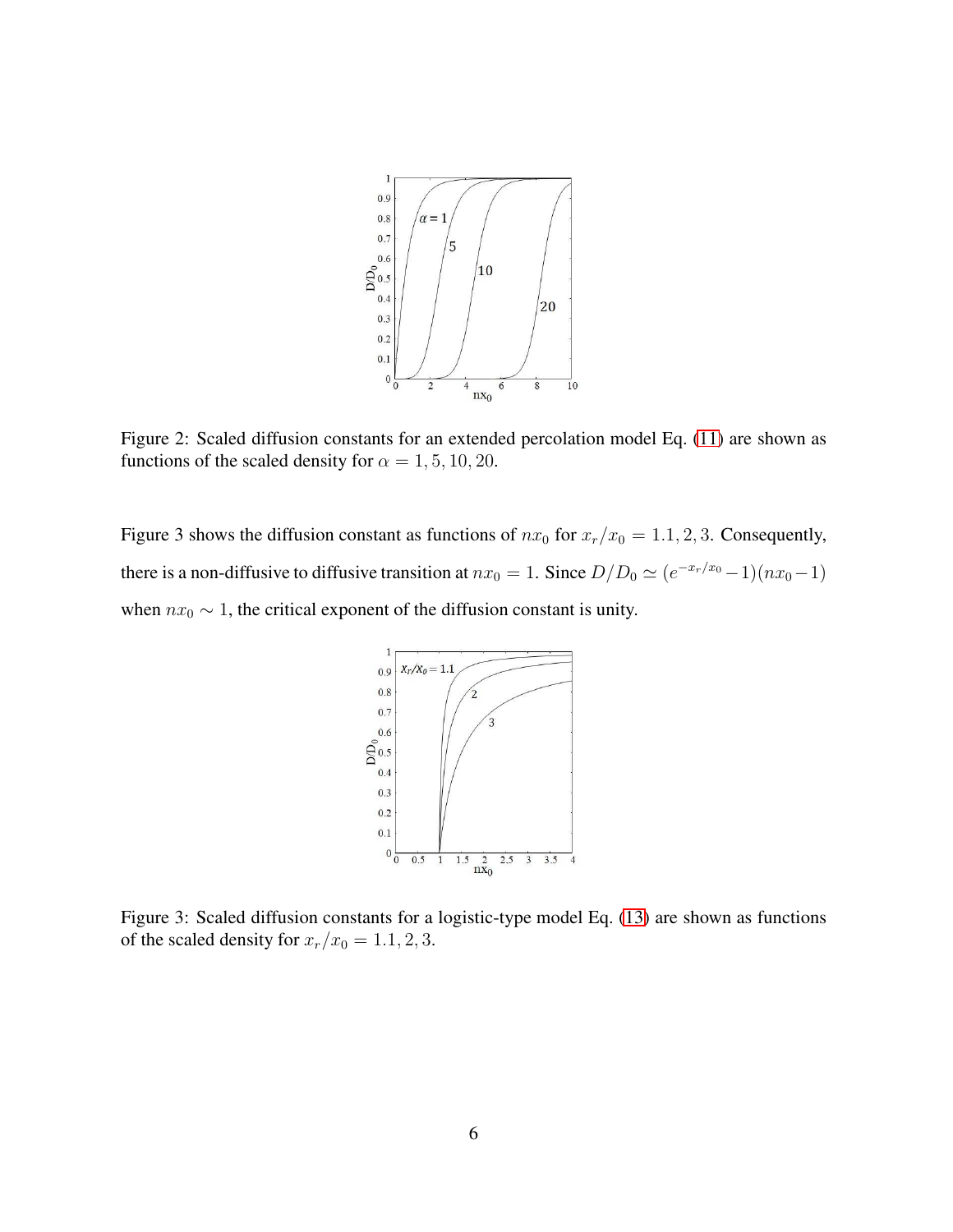

Figure 2: Scaled diffusion constants for an extended percolation model Eq. [\(11\)](#page-3-3) are shown as functions of the scaled density for  $\alpha = 1, 5, 10, 20$ .

Figure 3 shows the diffusion constant as functions of  $nx_0$  for  $x_r/x_0 = 1.1, 2, 3$ . Consequently, there is a non-diffusive to diffusive transition at  $nx_0 = 1$ . Since  $D/D_0 \simeq (e^{-x_r/x_0} - 1)(nx_0 - 1)$ when  $nx_0 \sim 1$ , the critical exponent of the diffusion constant is unity.



Figure 3: Scaled diffusion constants for a logistic-type model Eq. [\(13\)](#page-4-0) are shown as functions of the scaled density for  $x_r/x_0 = 1.1, 2, 3$ .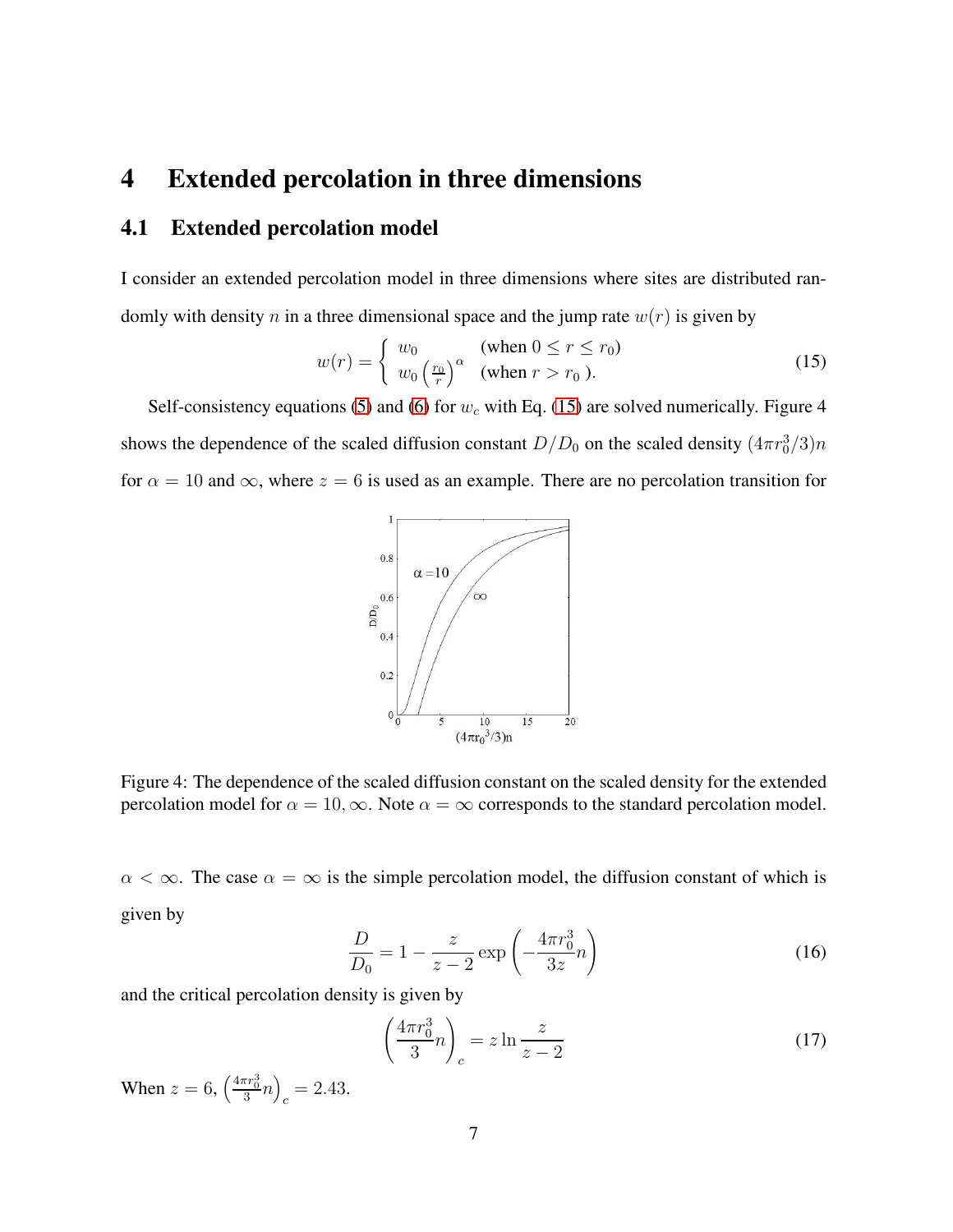### 4 Extended percolation in three dimensions

### 4.1 Extended percolation model

I consider an extended percolation model in three dimensions where sites are distributed randomly with density n in a three dimensional space and the jump rate  $w(r)$  is given by

<span id="page-6-0"></span>
$$
w(r) = \begin{cases} w_0 & \text{(when } 0 \le r \le r_0\text{)}\\ w_0 \left(\frac{r_0}{r}\right)^\alpha & \text{(when } r > r_0 \text{)}. \end{cases} \tag{15}
$$

Self-consistency equations [\(5\)](#page-2-1) and [\(6\)](#page-2-2) for  $w_c$  with Eq. [\(15\)](#page-6-0) are solved numerically. Figure 4 shows the dependence of the scaled diffusion constant  $D/D_0$  on the scaled density  $(4\pi r_0^3/3)n$ for  $\alpha = 10$  and  $\infty$ , where  $z = 6$  is used as an example. There are no percolation transition for



Figure 4: The dependence of the scaled diffusion constant on the scaled density for the extended percolation model for  $\alpha = 10$ ,  $\infty$ . Note  $\alpha = \infty$  corresponds to the standard percolation model.

 $\alpha < \infty$ . The case  $\alpha = \infty$  is the simple percolation model, the diffusion constant of which is given by

$$
\frac{D}{D_0} = 1 - \frac{z}{z - 2} \exp\left(-\frac{4\pi r_0^3}{3z}n\right)
$$
 (16)

and the critical percolation density is given by

$$
\left(\frac{4\pi r_0^3}{3}n\right)_c = z \ln \frac{z}{z-2} \tag{17}
$$

When  $z = 6, \left(\frac{4\pi r_0^3}{3}n\right)$  $_c = 2.43.$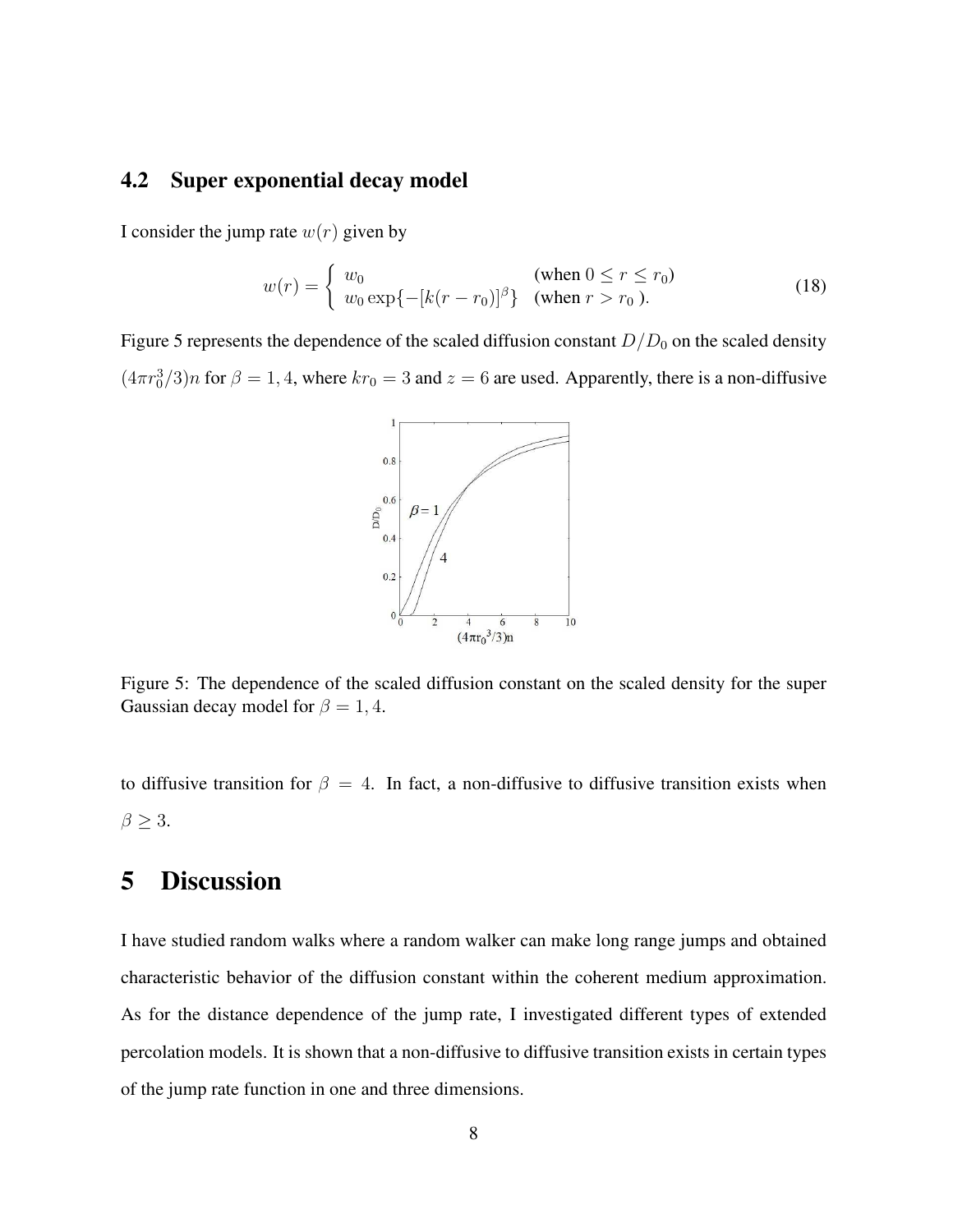#### 4.2 Super exponential decay model

I consider the jump rate  $w(r)$  given by

$$
w(r) = \begin{cases} w_0 & (\text{when } 0 \le r \le r_0) \\ w_0 \exp\{-[k(r - r_0)]^{\beta}\} & (\text{when } r > r_0). \end{cases}
$$
 (18)

Figure 5 represents the dependence of the scaled diffusion constant  $D/D_0$  on the scaled density  $(4\pi r_0^3/3)n$  for  $\beta = 1, 4$ , where  $kr_0 = 3$  and  $z = 6$  are used. Apparently, there is a non-diffusive



Figure 5: The dependence of the scaled diffusion constant on the scaled density for the super Gaussian decay model for  $\beta = 1, 4$ .

to diffusive transition for  $\beta = 4$ . In fact, a non-diffusive to diffusive transition exists when  $\beta \geq 3$ .

## 5 Discussion

I have studied random walks where a random walker can make long range jumps and obtained characteristic behavior of the diffusion constant within the coherent medium approximation. As for the distance dependence of the jump rate, I investigated different types of extended percolation models. It is shown that a non-diffusive to diffusive transition exists in certain types of the jump rate function in one and three dimensions.